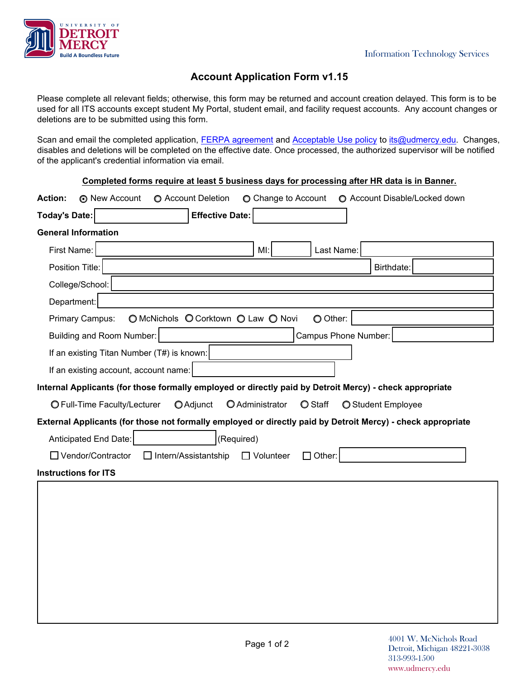

## **Account Application Form v1.15**

Please complete all relevant fields; otherwise, this form may be returned and account creation delayed. This form is to be used for all ITS accounts except student My Portal, student email, and facility request accounts. Any account changes or deletions are to be submitted using this form.

Scan and email the completed application, [FERPA agreement](https://www.udmercy.edu/about/its/access/files/ferpa.pdf) and [Acceptable Use policy](https://www.udmercy.edu/about/its/policies/files/its-0028.pdf) to [its@udmercy.edu](mailto:its@udmercy.edu). Changes, disables and deletions will be completed on the effective date. Once processed, the authorized supervisor will be notified of the applicant's credential information via email.

| Completed forms require at least 5 business days for processing after HR data is in Banner.                                 |  |  |
|-----------------------------------------------------------------------------------------------------------------------------|--|--|
| <b>Action:</b><br><b>O</b> New Account<br><b>O</b> Account Deletion<br>◯ Change to Account<br>◯ Account Disable/Locked down |  |  |
| <b>Effective Date:</b><br>Today's Date:                                                                                     |  |  |
| <b>General Information</b>                                                                                                  |  |  |
| First Name:<br>Ml:<br>Last Name:                                                                                            |  |  |
| Position Title:<br>Birthdate:                                                                                               |  |  |
| College/School:                                                                                                             |  |  |
| Department:                                                                                                                 |  |  |
| ○ McNichols ○ Corktown ○ Law ○ Novi<br><b>Primary Campus:</b><br>O Other:                                                   |  |  |
| Campus Phone Number:<br>Building and Room Number:                                                                           |  |  |
| If an existing Titan Number (T#) is known:                                                                                  |  |  |
| If an existing account, account name:                                                                                       |  |  |
| Internal Applicants (for those formally employed or directly paid by Detroit Mercy) - check appropriate                     |  |  |
| O Administrator<br><b>O</b> Staff<br><b>O</b> Adjunct<br><b>O</b> Full-Time Faculty/Lecturer<br><b>O</b> Student Employee   |  |  |
| External Applicants (for those not formally employed or directly paid by Detroit Mercy) - check appropriate                 |  |  |
| (Required)<br>Anticipated End Date:                                                                                         |  |  |
| $\Box$ Vendor/Contractor<br>$\Box$ Intern/Assistantship<br>$\Box$ Volunteer<br>Other:                                       |  |  |
| <b>Instructions for ITS</b>                                                                                                 |  |  |
|                                                                                                                             |  |  |
|                                                                                                                             |  |  |